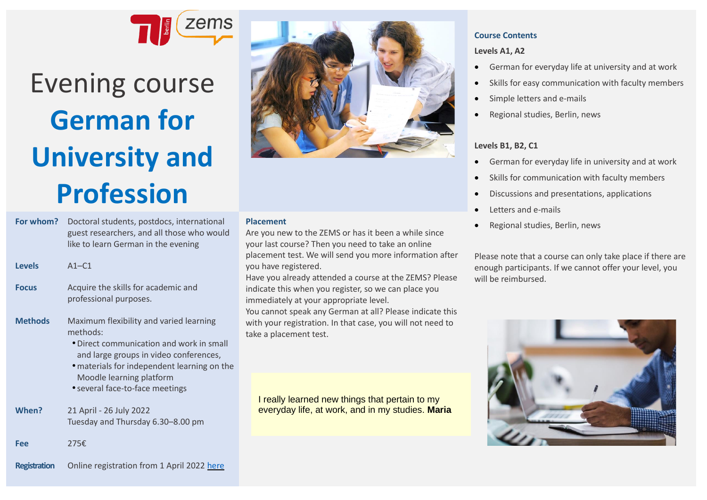# Evening course **German for University and Profession**

| For whom?      | Doctoral students, postdocs, international<br>guest researchers, and all those who would<br>like to learn German in the evening                                                                                                                         | PI<br>Ar<br>yc<br>pl |
|----------------|---------------------------------------------------------------------------------------------------------------------------------------------------------------------------------------------------------------------------------------------------------|----------------------|
| <b>Levels</b>  | $A1-C1$                                                                                                                                                                                                                                                 | yc                   |
| <b>Focus</b>   | Acquire the skills for academic and<br>professional purposes.                                                                                                                                                                                           | H<br>in<br>iη<br>Yc  |
| <b>Methods</b> | Maximum flexibility and varied learning<br>methods:<br>• Direct communication and work in small<br>and large groups in video conferences,<br>• materials for independent learning on the<br>Moodle learning platform<br>• several face-to-face meetings | W<br>ta              |
| When?          | 21 April - 26 July 2022<br>Tuesday and Thursday 6.30-8.00 pm                                                                                                                                                                                            |                      |
| Fee            | 275€                                                                                                                                                                                                                                                    |                      |



# **Placement**

re you new to the ZEMS or has it been a while since our last course? Then you need to take an online lacement test. We will send you more information after ou have registered.

lave you already attended a course at the ZEMS? Please idicate this when you register, so we can place you mmediately at your appropriate level.

ou cannot speak any German at all? Please indicate this with your registration. In that case, you will not need to ake a placement test.

I really learned new things that pertain to my everyday life, at work, and in my studies. **Maria**

# **Course Contents**

### **Levels A1, A2**

- German for everyday life at university and at work
- Skills for easy communication with faculty members
- Simple letters and e-mails
- Regional studies, Berlin, news

# **Levels B1, B2, C1**

- German for everyday life in university and at work
- Skills for communication with faculty members
- Discussions and presentations, applications
- Letters and e-mails
- Regional studies, Berlin, news

Please note that a course can only take place if there are enough participants. If we cannot offer your level, you will be reimbursed.



**Registration** Online registration from 1 April 2022 [here](https://www.zems.tu-berlin.de/sprachen/deutsch/abendkurs0/parameter/en/)